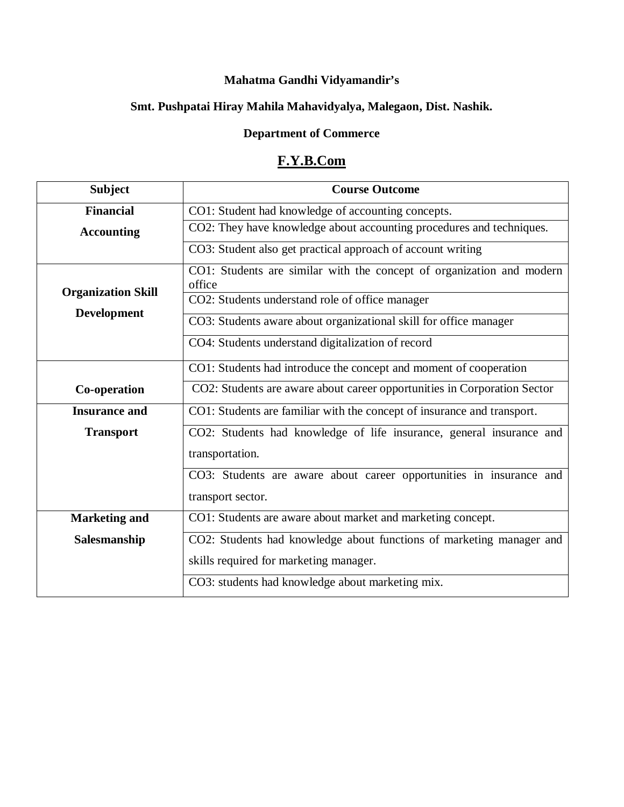## **Mahatma Gandhi Vidyamandir's**

## **Smt. Pushpatai Hiray Mahila Mahavidyalya, Malegaon, Dist. Nashik.**

## **Department of Commerce**

# **F.Y.B.Com**

| <b>Subject</b>            | <b>Course Outcome</b>                                                           |
|---------------------------|---------------------------------------------------------------------------------|
| <b>Financial</b>          | CO1: Student had knowledge of accounting concepts.                              |
| <b>Accounting</b>         | CO2: They have knowledge about accounting procedures and techniques.            |
|                           | CO3: Student also get practical approach of account writing                     |
|                           | CO1: Students are similar with the concept of organization and modern<br>office |
| <b>Organization Skill</b> | CO2: Students understand role of office manager                                 |
| <b>Development</b>        | CO3: Students aware about organizational skill for office manager               |
|                           | CO4: Students understand digitalization of record                               |
|                           | CO1: Students had introduce the concept and moment of cooperation               |
| Co-operation              | CO2: Students are aware about career opportunities in Corporation Sector        |
| <b>Insurance and</b>      | CO1: Students are familiar with the concept of insurance and transport.         |
| <b>Transport</b>          | CO2: Students had knowledge of life insurance, general insurance and            |
|                           | transportation.                                                                 |
|                           | CO3: Students are aware about career opportunities in insurance and             |
|                           | transport sector.                                                               |
| <b>Marketing and</b>      | CO1: Students are aware about market and marketing concept.                     |
| Salesmanship              | CO2: Students had knowledge about functions of marketing manager and            |
|                           | skills required for marketing manager.                                          |
|                           | CO3: students had knowledge about marketing mix.                                |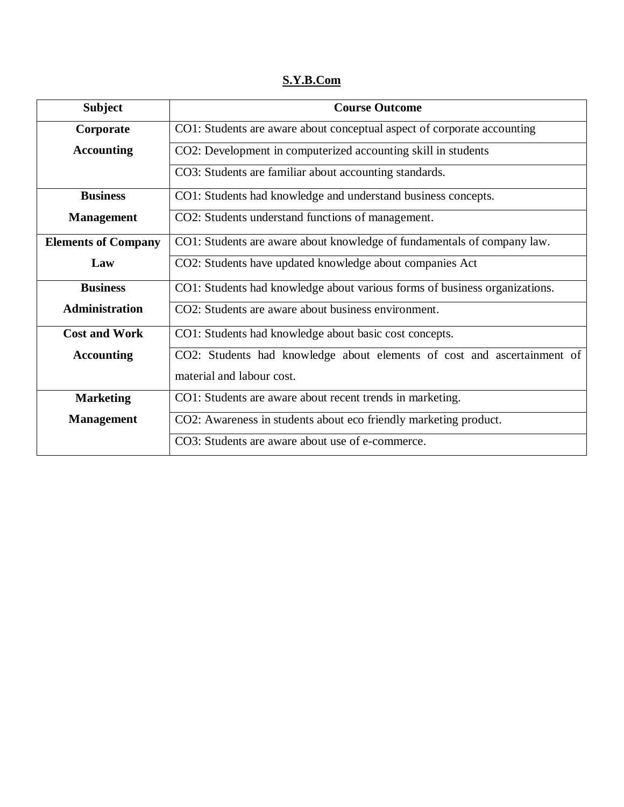**S.Y.B.Com**

| <b>Subject</b>             | <b>Course Outcome</b>                                                      |
|----------------------------|----------------------------------------------------------------------------|
| Corporate                  | CO1: Students are aware about conceptual aspect of corporate accounting    |
| <b>Accounting</b>          | CO2: Development in computerized accounting skill in students              |
|                            | CO3: Students are familiar about accounting standards.                     |
| <b>Business</b>            | CO1: Students had knowledge and understand business concepts.              |
| <b>Management</b>          | CO2: Students understand functions of management.                          |
| <b>Elements of Company</b> | CO1: Students are aware about knowledge of fundamentals of company law.    |
| Law                        | CO2: Students have updated knowledge about companies Act                   |
| <b>Business</b>            | CO1: Students had knowledge about various forms of business organizations. |
| Administration             | CO2: Students are aware about business environment.                        |
| <b>Cost and Work</b>       | CO1: Students had knowledge about basic cost concepts.                     |
| <b>Accounting</b>          | CO2: Students had knowledge about elements of cost and ascertainment of    |
|                            | material and labour cost.                                                  |
| <b>Marketing</b>           | CO1: Students are aware about recent trends in marketing.                  |
| <b>Management</b>          | CO2: Awareness in students about eco friendly marketing product.           |
|                            | CO3: Students are aware about use of e-commerce.                           |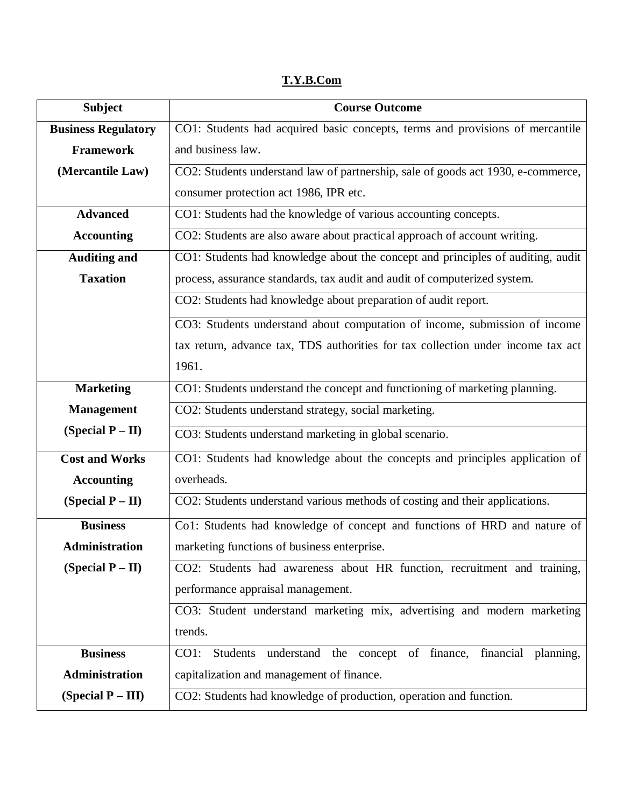## **T.Y.B.Com**

| <b>Subject</b>             | <b>Course Outcome</b>                                                            |
|----------------------------|----------------------------------------------------------------------------------|
| <b>Business Regulatory</b> | CO1: Students had acquired basic concepts, terms and provisions of mercantile    |
| <b>Framework</b>           | and business law.                                                                |
| (Mercantile Law)           | CO2: Students understand law of partnership, sale of goods act 1930, e-commerce, |
|                            | consumer protection act 1986, IPR etc.                                           |
| <b>Advanced</b>            | CO1: Students had the knowledge of various accounting concepts.                  |
| <b>Accounting</b>          | CO2: Students are also aware about practical approach of account writing.        |
| <b>Auditing and</b>        | CO1: Students had knowledge about the concept and principles of auditing, audit  |
| <b>Taxation</b>            | process, assurance standards, tax audit and audit of computerized system.        |
|                            | CO2: Students had knowledge about preparation of audit report.                   |
|                            | CO3: Students understand about computation of income, submission of income       |
|                            | tax return, advance tax, TDS authorities for tax collection under income tax act |
|                            | 1961.                                                                            |
| <b>Marketing</b>           | CO1: Students understand the concept and functioning of marketing planning.      |
| <b>Management</b>          | CO2: Students understand strategy, social marketing.                             |
| (Special $P - II$ )        | CO3: Students understand marketing in global scenario.                           |
| <b>Cost and Works</b>      | CO1: Students had knowledge about the concepts and principles application of     |
| <b>Accounting</b>          | overheads.                                                                       |
| (Special $P - II$ )        | CO2: Students understand various methods of costing and their applications.      |
| <b>Business</b>            | Co1: Students had knowledge of concept and functions of HRD and nature of        |
| <b>Administration</b>      | marketing functions of business enterprise.                                      |
| (Special $P - II$ )        | CO2: Students had awareness about HR function, recruitment and training,         |
|                            | performance appraisal management.                                                |
|                            | CO3: Student understand marketing mix, advertising and modern marketing          |
|                            | trends.                                                                          |
| <b>Business</b>            | Students understand the concept of finance,<br>CO1:<br>financial planning,       |
| <b>Administration</b>      | capitalization and management of finance.                                        |
| (Special $P - III$ )       | CO2: Students had knowledge of production, operation and function.               |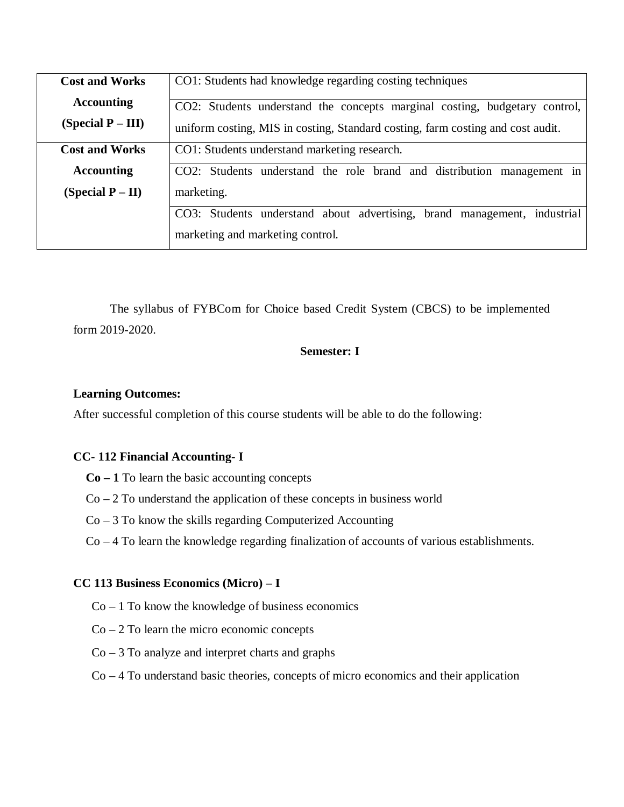| <b>Cost and Works</b> | CO1: Students had knowledge regarding costing techniques                        |
|-----------------------|---------------------------------------------------------------------------------|
| <b>Accounting</b>     | CO2: Students understand the concepts marginal costing, budgetary control,      |
| (Special $P - III$ )  | uniform costing, MIS in costing, Standard costing, farm costing and cost audit. |
| <b>Cost and Works</b> | CO1: Students understand marketing research.                                    |
| <b>Accounting</b>     | CO2: Students understand the role brand and distribution management in          |
| (Special $P - II$ )   | marketing.                                                                      |
|                       | CO3: Students understand about advertising, brand management, industrial        |
|                       | marketing and marketing control.                                                |

The syllabus of FYBCom for Choice based Credit System (CBCS) to be implemented form 2019-2020.

## **Semester: I**

#### **Learning Outcomes:**

After successful completion of this course students will be able to do the following:

### **CC- 112 Financial Accounting- I**

- **Co – 1** To learn the basic accounting concepts
- $Co 2 To$  understand the application of these concepts in business world
- Co 3 To know the skills regarding Computerized Accounting
- Co 4 To learn the knowledge regarding finalization of accounts of various establishments.

#### **CC 113 Business Economics (Micro) – I**

- $Co 1$  To know the knowledge of business economics
- $Co 2 To learn the micro economic concepts$
- $Co 3 To analyze and interpret charts and graphs$
- Co 4 To understand basic theories, concepts of micro economics and their application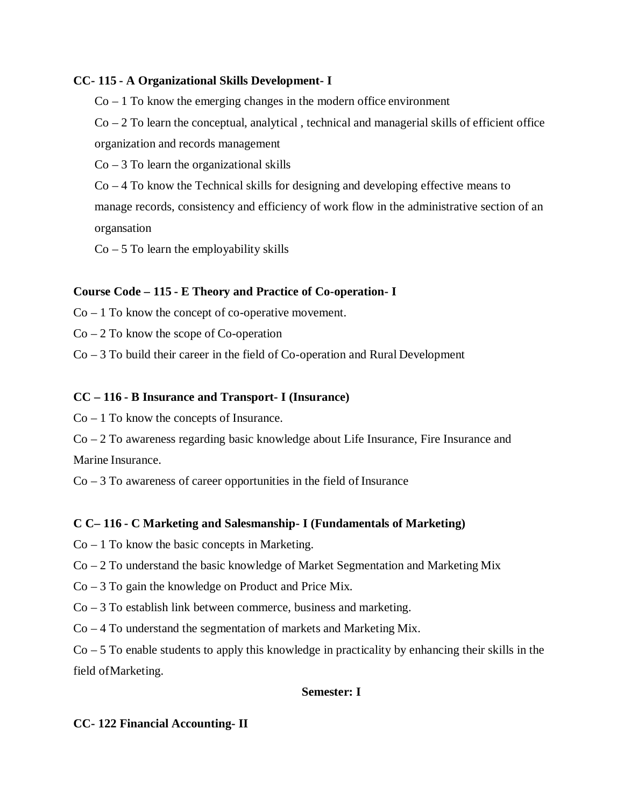## **CC- 115 - A Organizational Skills Development- I**

 $Co - 1$  To know the emerging changes in the modern office environment

Co – 2 To learn the conceptual, analytical , technical and managerial skills of efficient office organization and records management

 $Co - 3 To learn the organizational skills$ 

Co – 4 To know the Technical skills for designing and developing effective means to manage records, consistency and efficiency of work flow in the administrative section of an organsation

 $Co - 5$  To learn the employability skills

### **Course Code – 115 - E Theory and Practice of Co-operation- I**

 $Co - 1$  To know the concept of co-operative movement.

 $Co - 2 To know the scope of Co-operation$ 

Co – 3 To build their career in the field of Co-operation and Rural Development

### **CC – 116 - B Insurance and Transport- I (Insurance)**

 $Co - 1$  To know the concepts of Insurance.

Co – 2 To awareness regarding basic knowledge about Life Insurance, Fire Insurance and Marine Insurance.

 $Co - 3 To awareness of career opportunities in the field of Insurance$ 

## **C C– 116 - C Marketing and Salesmanship- I (Fundamentals of Marketing)**

- $Co 1$  To know the basic concepts in Marketing.
- Co 2 To understand the basic knowledge of Market Segmentation and Marketing Mix
- Co 3 To gain the knowledge on Product and Price Mix.

Co – 3 To establish link between commerce, business and marketing.

Co – 4 To understand the segmentation of markets and Marketing Mix.

 $Co - 5$  To enable students to apply this knowledge in practicality by enhancing their skills in the field ofMarketing.

#### **Semester: I**

#### **CC- 122 Financial Accounting- II**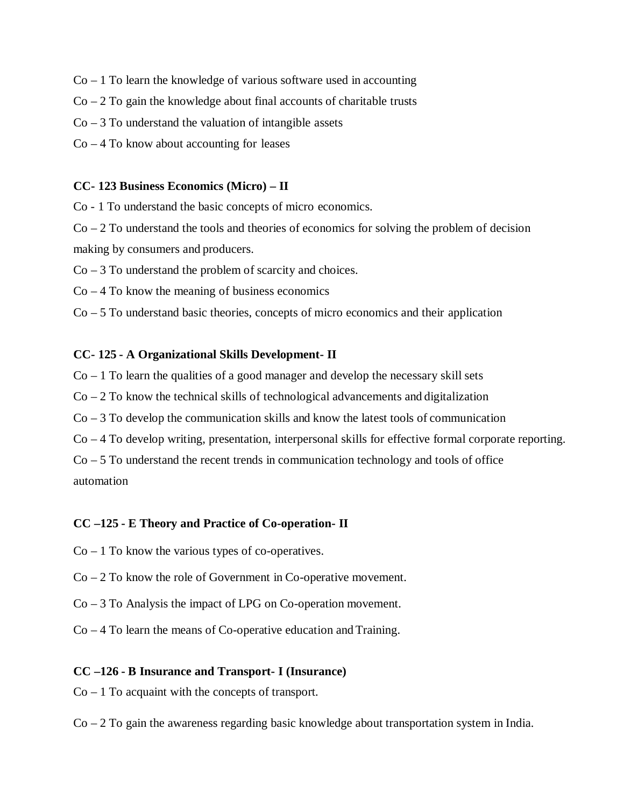- $Co 1$  To learn the knowledge of various software used in accounting
- $Co 2 To gain the knowledge about final accounts of charitable trusts$
- $Co 3$  To understand the valuation of intangible assets
- $Co 4$  To know about accounting for leases

#### **CC- 123 Business Economics (Micro) – II**

Co - 1 To understand the basic concepts of micro economics.

 $Co-2$  To understand the tools and theories of economics for solving the problem of decision making by consumers and producers.

 $Co - 3$  To understand the problem of scarcity and choices.

 $Co - 4$  To know the meaning of business economics

 $Co - 5$  To understand basic theories, concepts of micro economics and their application

#### **CC- 125 - A Organizational Skills Development- II**

 $Co-1$  To learn the qualities of a good manager and develop the necessary skill sets

- $Co 2 To know the technical skills of technological advancesments and digitalization$
- $Co 3$  To develop the communication skills and know the latest tools of communication
- Co 4 To develop writing, presentation, interpersonal skills for effective formal corporate reporting.

 $Co - 5$  To understand the recent trends in communication technology and tools of office automation

#### **CC –125 - E Theory and Practice of Co-operation- II**

- $Co 1$  To know the various types of co-operatives.
- Co 2 To know the role of Government in Co-operative movement.
- Co 3 To Analysis the impact of LPG on Co-operation movement.
- Co 4 To learn the means of Co-operative education and Training.

#### **CC –126 - B Insurance and Transport- I (Insurance)**

- $Co 1$  To acquaint with the concepts of transport.
- $Co 2$  To gain the awareness regarding basic knowledge about transportation system in India.